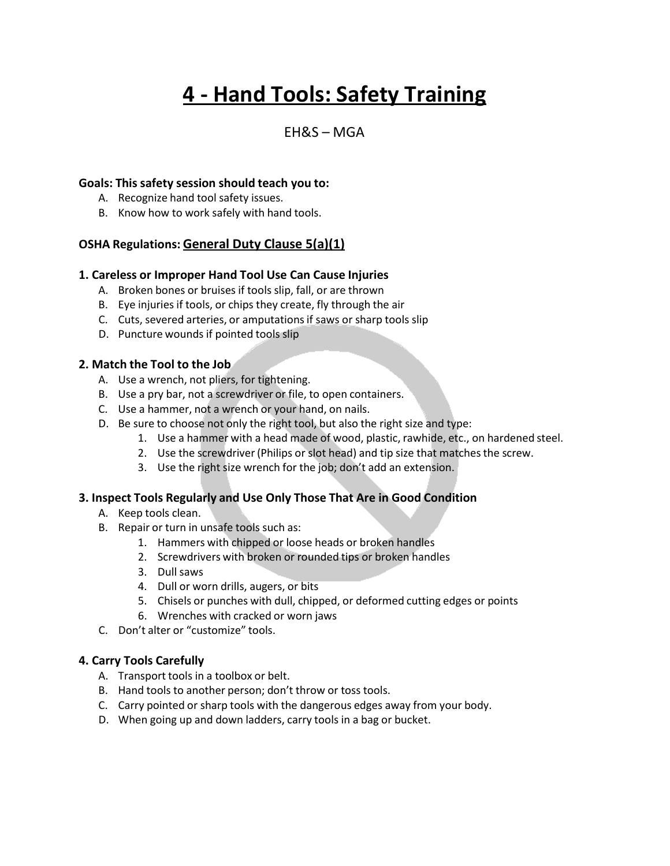# **4 - Hand Tools: Safety Training**

### $FHRS - MGA$

#### **Goals: This safety session should teach you to:**

- A. Recognize hand tool safety issues.
- B. Know how to work safely with hand tools.

#### **OSHA Regulations: General Duty Clause 5(a)(1)**

#### **1. Careless or Improper Hand Tool Use Can Cause Injuries**

- A. Broken bones or bruises if tools slip, fall, or are thrown
- B. Eye injuries if tools, or chips they create, fly through the air
- C. Cuts, severed arteries, or amputationsif saws or sharp tools slip
- D. Puncture wounds if pointed tools slip

#### **2. Match the Tool to the Job**

- A. Use a wrench, not pliers, for tightening.
- B. Use a pry bar, not a screwdriver or file, to open containers.
- C. Use a hammer, not a wrench or your hand, on nails.
- D. Be sure to choose not only the right tool, but also the right size and type:
	- 1. Use a hammer with a head made of wood, plastic, rawhide, etc., on hardened steel.
	- 2. Use the screwdriver (Philips or slot head) and tip size that matches the screw.
	- 3. Use the right size wrench for the job; don't add an extension.

#### **3. Inspect Tools Regularly and Use Only Those That Are in Good Condition**

- A. Keep tools clean.
- B. Repair or turn in unsafe tools such as:
	- 1. Hammers with chipped or loose heads or broken handles
	- 2. Screwdrivers with broken or rounded tips or broken handles
	- 3. Dull saws
	- 4. Dull or worn drills, augers, or bits
	- 5. Chisels or punches with dull, chipped, or deformed cutting edges or points
	- 6. Wrenches with cracked or worn jaws
- C. Don't alter or "customize" tools.

#### **4. Carry Tools Carefully**

- A. Transport tools in a toolbox or belt.
- B. Hand tools to another person; don't throw or toss tools.
- C. Carry pointed or sharp tools with the dangerous edges away from your body.
- D. When going up and down ladders, carry tools in a bag or bucket.